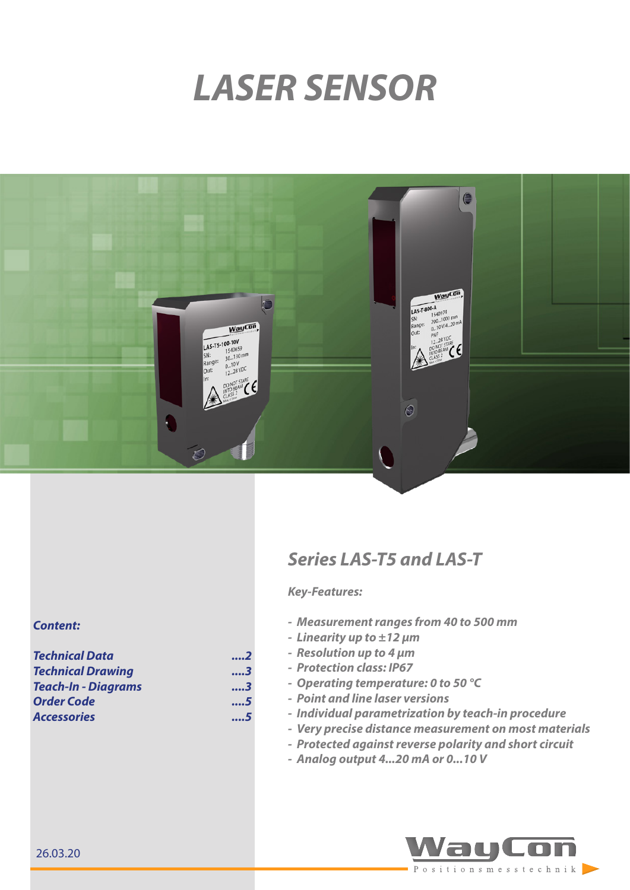# *LASER SENSOR*



#### *Content:*

| <b>Technical Data</b>      | 2   |
|----------------------------|-----|
| <b>Technical Drawing</b>   | 3   |
| <b>Teach-In - Diagrams</b> | . 3 |
| <b>Order Code</b>          | 5   |
| <b>Accessories</b>         | 5   |

## *Series LAS-T5 and LAS-T*

## *Key-Features:*

- *- Measurement ranges from 40 to 500 mm*
- *- Linearity up to ±12 µm*
- *- Resolution up to 4 µm*
- *- Protection class: IP67*
- *- Operating temperature: 0 to 50 °C*
- *- Point and line laser versions*
- *- Individual parametrization by teach-in procedure*
- *- Very precise distance measurement on most materials*
- *- Protected against reverse polarity and short circuit*
- *- Analog output 4...20 mA or 0...10 V*

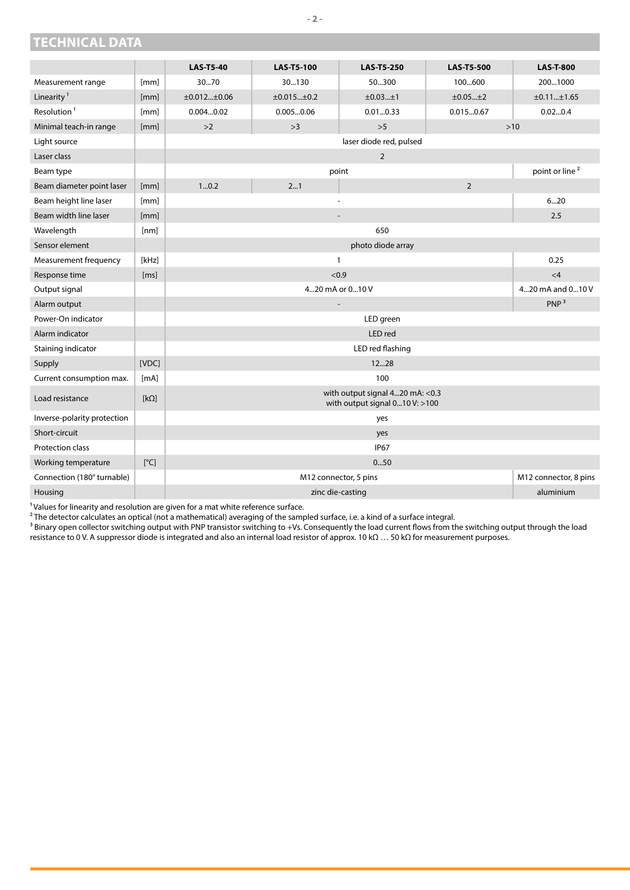<span id="page-1-0"></span>

|  | <b>TECHNICAL DATA</b> |
|--|-----------------------|
|  |                       |

|                             |             | <b>LAS-T5-40</b>                                                   | <b>LAS-T5-100</b>     | <b>LAS-T5-250</b>       | <b>LAS-T5-500</b> | <b>LAS-T-800</b>           |
|-----------------------------|-------------|--------------------------------------------------------------------|-----------------------|-------------------------|-------------------|----------------------------|
| Measurement range           | [mm]        | 3070                                                               | 30130                 | 50300                   | 100600            | 2001000                    |
| Linearity <sup>1</sup>      | [mm]        | ±0.012±0.06                                                        | $\pm 0.015$ $\pm 0.2$ | ±0.03±1                 | ±0.05±2           | ±0.11±1.65                 |
| Resolution <sup>1</sup>     | [mm]        | 0.0040.02                                                          | 0.0050.06             | 0.010.33                | 0.0150.67         | 0.020.4                    |
| Minimal teach-in range      | [mm]        | $>2$                                                               | >3                    | >5                      |                   | $>10$                      |
| Light source                |             |                                                                    |                       | laser diode red, pulsed |                   |                            |
| Laser class                 |             |                                                                    |                       | $\overline{2}$          |                   |                            |
| Beam type                   |             |                                                                    |                       | point                   |                   | point or line <sup>2</sup> |
| Beam diameter point laser   | [mm]        | 10.2                                                               | 21                    |                         | $\overline{2}$    |                            |
| Beam height line laser      | [mm]        |                                                                    | $\overline{a}$        |                         |                   | 620                        |
| Beam width line laser       | [mm]        |                                                                    |                       |                         |                   | 2.5                        |
| Wavelength                  | [nm]        | 650                                                                |                       |                         |                   |                            |
| Sensor element              |             | photo diode array                                                  |                       |                         |                   |                            |
| Measurement frequency       | [kHz]       | $\mathbf{1}$                                                       |                       |                         | 0.25              |                            |
| Response time               | [ms]        | < 0.9                                                              |                       |                         | $\leq 4$          |                            |
| Output signal               |             | 420 mA or 010 V<br>420 mA and 010 V                                |                       |                         |                   |                            |
| Alarm output                |             | PNP <sup>3</sup><br>$\overline{a}$                                 |                       |                         |                   |                            |
| Power-On indicator          |             | LED green                                                          |                       |                         |                   |                            |
| Alarm indicator             |             | LED red                                                            |                       |                         |                   |                            |
| Staining indicator          |             | LED red flashing                                                   |                       |                         |                   |                            |
| Supply                      | [VDC]       | 1228                                                               |                       |                         |                   |                            |
| Current consumption max.    | [mA]        | 100                                                                |                       |                         |                   |                            |
| Load resistance             | $[k\Omega]$ | with output signal 420 mA: < 0.3<br>with output signal 010 V: >100 |                       |                         |                   |                            |
| Inverse-polarity protection |             | yes                                                                |                       |                         |                   |                            |
| Short-circuit               |             | yes                                                                |                       |                         |                   |                            |
| Protection class            |             | <b>IP67</b>                                                        |                       |                         |                   |                            |
| Working temperature         | [°C]        | 050                                                                |                       |                         |                   |                            |
| Connection (180° turnable)  |             | M12 connector, 8 pins<br>M12 connector, 5 pins                     |                       |                         |                   |                            |
| Housing                     |             | aluminium<br>zinc die-casting                                      |                       |                         |                   |                            |

 $<sup>1</sup>$  Values for linearity and resolution are given for a mat white reference surface.</sup>

 $^{\rm 2}$ The detector calculates an optical (not a mathematical) averaging of the sampled surface, i.e. a kind of a surface integral.

 $^3$  Binary open collector switching output with PNP transistor switching to +Vs. Consequently the load current flows from the switching output through the load resistance to 0 V. A suppressor diode is integrated and also an internal load resistor of approx. 10 kΩ … 50 kΩ for measurement purposes.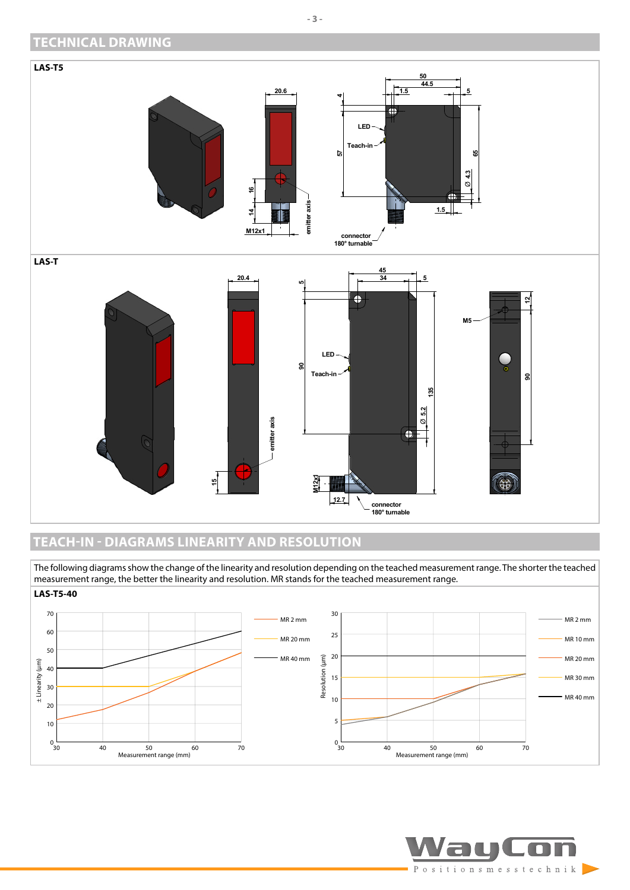## <span id="page-2-0"></span>**TECHNICAL DRAWING**



## <span id="page-2-1"></span>**TEACH-IN - DIAGRAMS LINEARITY AND RESOLUTION**

The following diagrams show the change of the linearity and resolution depending on the teached measurement range. The shorter the teached measurement range, the better the linearity and resolution. MR stands for the teached measurement range.



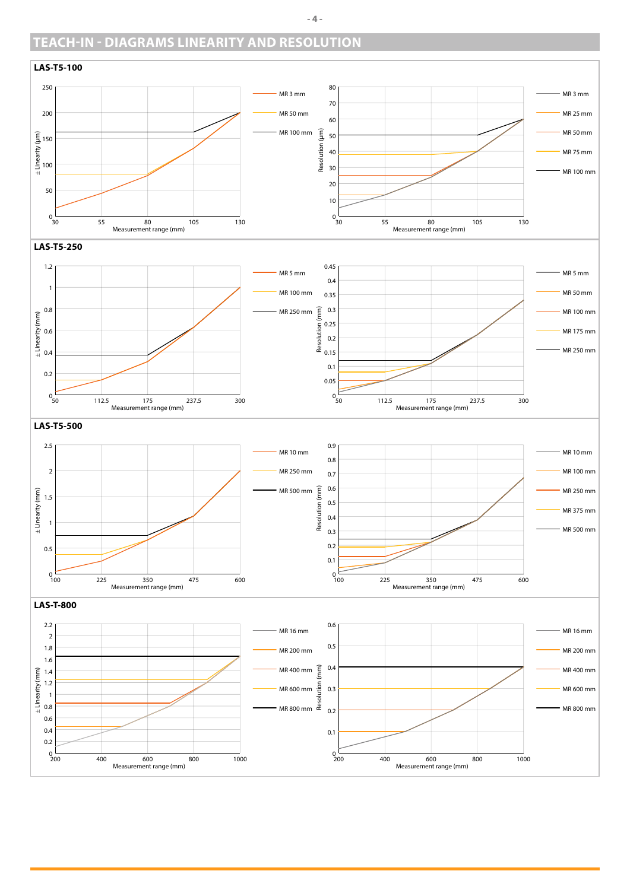## **TEACH-IN - DIAGRAMS LINEARITY AND RESOLUTION**